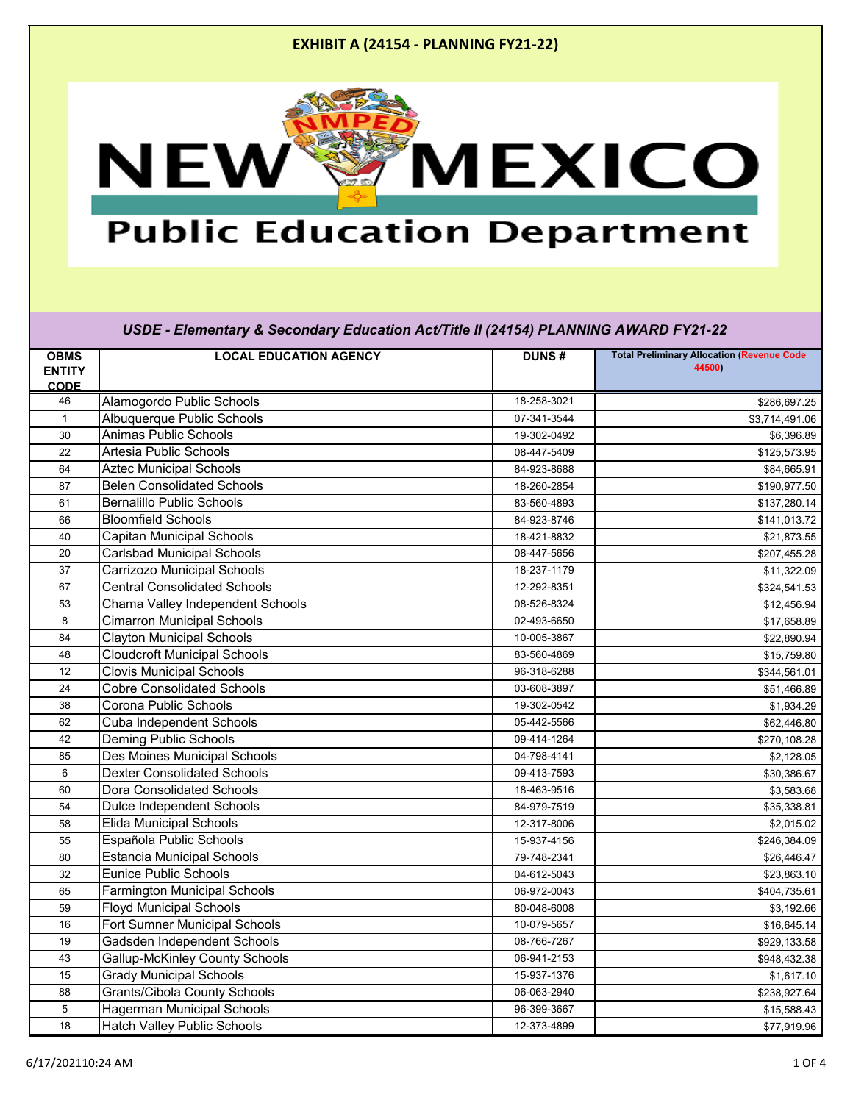

## **Public Education Department**

| <b>OBMS</b>   | <b>LOCAL EDUCATION AGENCY</b>         | <b>DUNS#</b> | <b>Total Preliminary Allocation (Revenue Code</b> |
|---------------|---------------------------------------|--------------|---------------------------------------------------|
| <b>ENTITY</b> |                                       |              | 44500)                                            |
| <b>CODE</b>   |                                       |              |                                                   |
| 46            | Alamogordo Public Schools             | 18-258-3021  | \$286,697.25                                      |
| $\mathbf{1}$  | <b>Albuquerque Public Schools</b>     | 07-341-3544  | \$3,714,491.06                                    |
| 30            | <b>Animas Public Schools</b>          | 19-302-0492  | \$6,396.89                                        |
| 22            | Artesia Public Schools                | 08-447-5409  | \$125,573.95                                      |
| 64            | <b>Aztec Municipal Schools</b>        | 84-923-8688  | \$84,665.91                                       |
| 87            | <b>Belen Consolidated Schools</b>     | 18-260-2854  | \$190,977.50                                      |
| 61            | <b>Bernalillo Public Schools</b>      | 83-560-4893  | \$137,280.14                                      |
| 66            | <b>Bloomfield Schools</b>             | 84-923-8746  | \$141,013.72                                      |
| 40            | <b>Capitan Municipal Schools</b>      | 18-421-8832  | \$21,873.55                                       |
| 20            | <b>Carlsbad Municipal Schools</b>     | 08-447-5656  | \$207,455.28                                      |
| 37            | <b>Carrizozo Municipal Schools</b>    | 18-237-1179  | \$11,322.09                                       |
| 67            | <b>Central Consolidated Schools</b>   | 12-292-8351  | \$324,541.53                                      |
| 53            | Chama Valley Independent Schools      | 08-526-8324  | \$12,456.94                                       |
| 8             | <b>Cimarron Municipal Schools</b>     | 02-493-6650  | \$17,658.89                                       |
| 84            | <b>Clayton Municipal Schools</b>      | 10-005-3867  | \$22,890.94                                       |
| 48            | <b>Cloudcroft Municipal Schools</b>   | 83-560-4869  | \$15,759.80                                       |
| 12            | <b>Clovis Municipal Schools</b>       | 96-318-6288  | \$344,561.01                                      |
| 24            | <b>Cobre Consolidated Schools</b>     | 03-608-3897  | \$51,466.89                                       |
| 38            | <b>Corona Public Schools</b>          | 19-302-0542  | \$1,934.29                                        |
| 62            | <b>Cuba Independent Schools</b>       | 05-442-5566  | \$62,446.80                                       |
| 42            | <b>Deming Public Schools</b>          | 09-414-1264  | \$270,108.28                                      |
| 85            | Des Moines Municipal Schools          | 04-798-4141  | \$2,128.05                                        |
| 6             | <b>Dexter Consolidated Schools</b>    | 09-413-7593  | \$30,386.67                                       |
| 60            | <b>Dora Consolidated Schools</b>      | 18-463-9516  | \$3,583.68                                        |
| 54            | <b>Dulce Independent Schools</b>      | 84-979-7519  | \$35,338.81                                       |
| 58            | <b>Elida Municipal Schools</b>        | 12-317-8006  | \$2,015.02                                        |
| 55            | Española Public Schools               | 15-937-4156  | \$246,384.09                                      |
| 80            | Estancia Municipal Schools            | 79-748-2341  | \$26,446.47                                       |
| 32            | <b>Eunice Public Schools</b>          | 04-612-5043  | \$23,863.10                                       |
| 65            | <b>Farmington Municipal Schools</b>   | 06-972-0043  | \$404,735.61                                      |
| 59            | <b>Floyd Municipal Schools</b>        | 80-048-6008  | \$3,192.66                                        |
| 16            | <b>Fort Sumner Municipal Schools</b>  | 10-079-5657  | \$16,645.14                                       |
| 19            | Gadsden Independent Schools           | 08-766-7267  | \$929,133.58                                      |
| 43            | <b>Gallup-McKinley County Schools</b> | 06-941-2153  | \$948,432.38                                      |
| 15            | <b>Grady Municipal Schools</b>        | 15-937-1376  | \$1,617.10                                        |
| 88            | <b>Grants/Cibola County Schools</b>   | 06-063-2940  | \$238,927.64                                      |
| 5             | <b>Hagerman Municipal Schools</b>     | 96-399-3667  | \$15,588.43                                       |
| 18            | <b>Hatch Valley Public Schools</b>    | 12-373-4899  | \$77,919.96                                       |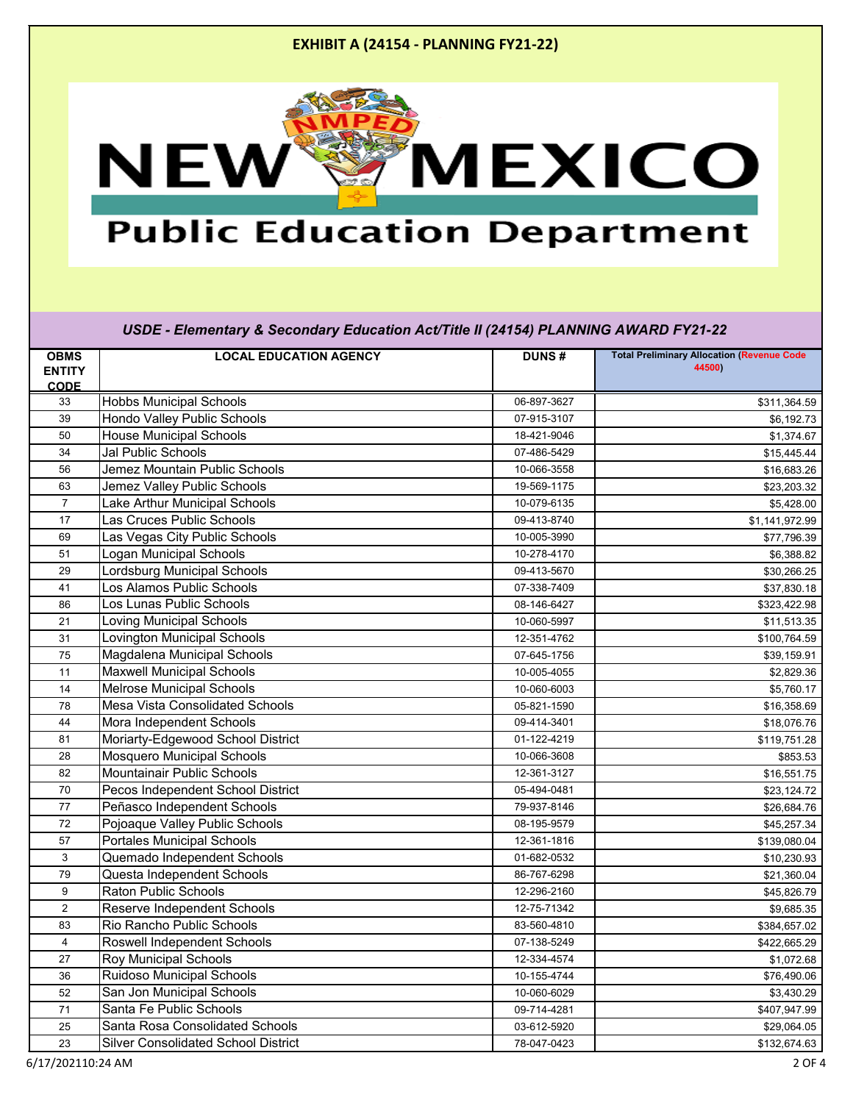

## **Public Education Department**

| <b>OBMS</b>    | <b>LOCAL EDUCATION AGENCY</b>              | <b>DUNS#</b> | <b>Total Preliminary Allocation (Revenue Code</b> |
|----------------|--------------------------------------------|--------------|---------------------------------------------------|
| <b>ENTITY</b>  |                                            |              | 44500)                                            |
| <b>CODE</b>    |                                            |              |                                                   |
| 33             | <b>Hobbs Municipal Schools</b>             | 06-897-3627  | \$311,364.59                                      |
| 39             | <b>Hondo Valley Public Schools</b>         | 07-915-3107  | \$6,192.73                                        |
| 50             | <b>House Municipal Schools</b>             | 18-421-9046  | \$1,374.67                                        |
| 34             | <b>Jal Public Schools</b>                  | 07-486-5429  | \$15,445.44                                       |
| 56             | Jemez Mountain Public Schools              | 10-066-3558  | \$16,683.26                                       |
| 63             | Jemez Valley Public Schools                | 19-569-1175  | \$23,203.32                                       |
| 7              | Lake Arthur Municipal Schools              | 10-079-6135  | \$5,428.00                                        |
| 17             | Las Cruces Public Schools                  | 09-413-8740  | \$1,141,972.99                                    |
| 69             | Las Vegas City Public Schools              | 10-005-3990  | \$77,796.39                                       |
| 51             | Logan Municipal Schools                    | 10-278-4170  | \$6,388.82                                        |
| 29             | Lordsburg Municipal Schools                | 09-413-5670  | \$30,266.25                                       |
| 41             | Los Alamos Public Schools                  | 07-338-7409  | \$37,830.18                                       |
| 86             | Los Lunas Public Schools                   | 08-146-6427  | \$323,422.98                                      |
| 21             | Loving Municipal Schools                   | 10-060-5997  | \$11,513.35                                       |
| 31             | Lovington Municipal Schools                | 12-351-4762  | \$100,764.59                                      |
| 75             | Magdalena Municipal Schools                | 07-645-1756  | \$39,159.91                                       |
| 11             | <b>Maxwell Municipal Schools</b>           | 10-005-4055  | \$2,829.36                                        |
| 14             | <b>Melrose Municipal Schools</b>           | 10-060-6003  | \$5,760.17                                        |
| 78             | <b>Mesa Vista Consolidated Schools</b>     | 05-821-1590  | \$16,358.69                                       |
| 44             | Mora Independent Schools                   | 09-414-3401  | \$18,076.76                                       |
| 81             | Moriarty-Edgewood School District          | 01-122-4219  | \$119,751.28                                      |
| 28             | <b>Mosquero Municipal Schools</b>          | 10-066-3608  | \$853.53                                          |
| 82             | <b>Mountainair Public Schools</b>          | 12-361-3127  | \$16,551.75                                       |
| 70             | Pecos Independent School District          | 05-494-0481  | \$23,124.72                                       |
| 77             | Peñasco Independent Schools                | 79-937-8146  | \$26,684.76                                       |
| 72             | Pojoaque Valley Public Schools             | 08-195-9579  | \$45,257.34                                       |
| 57             | <b>Portales Municipal Schools</b>          | 12-361-1816  | \$139,080.04                                      |
| $\mathsf 3$    | Quemado Independent Schools                | 01-682-0532  | \$10,230.93                                       |
| 79             | Questa Independent Schools                 | 86-767-6298  | \$21,360.04                                       |
| 9              | <b>Raton Public Schools</b>                | 12-296-2160  | \$45,826.79                                       |
| $\overline{2}$ | <b>Reserve Independent Schools</b>         | 12-75-71342  | \$9,685.35                                        |
| 83             | <b>Rio Rancho Public Schools</b>           | 83-560-4810  | \$384,657.02                                      |
| 4              | <b>Roswell Independent Schools</b>         | 07-138-5249  | \$422,665.29                                      |
| 27             | <b>Roy Municipal Schools</b>               | 12-334-4574  | \$1,072.68                                        |
| 36             | <b>Ruidoso Municipal Schools</b>           | 10-155-4744  | \$76,490.06                                       |
| 52             | San Jon Municipal Schools                  | 10-060-6029  | \$3,430.29                                        |
| 71             | Santa Fe Public Schools                    | 09-714-4281  | \$407,947.99                                      |
| 25             | <b>Santa Rosa Consolidated Schools</b>     | 03-612-5920  | \$29,064.05                                       |
| 23             | <b>Silver Consolidated School District</b> | 78-047-0423  | \$132,674.63                                      |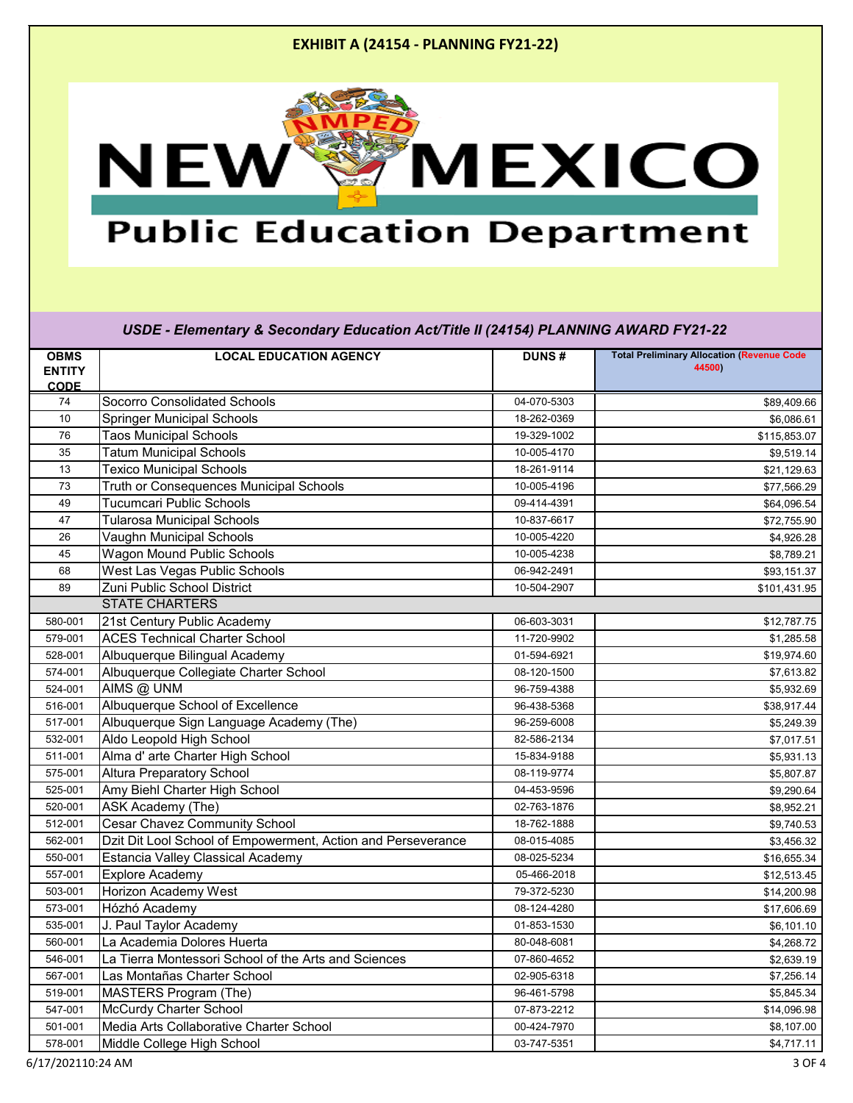

## **Public Education Department**

| <b>OBMS</b>   | <b>LOCAL EDUCATION AGENCY</b>                                | <b>DUNS#</b> | <b>Total Preliminary Allocation (Revenue Code</b> |
|---------------|--------------------------------------------------------------|--------------|---------------------------------------------------|
| <b>ENTITY</b> |                                                              |              | 44500)                                            |
| <b>CODE</b>   |                                                              |              |                                                   |
| 74            | <b>Socorro Consolidated Schools</b>                          | 04-070-5303  | \$89,409.66                                       |
| 10            | <b>Springer Municipal Schools</b>                            | 18-262-0369  | \$6,086.61                                        |
| 76            | <b>Taos Municipal Schools</b>                                | 19-329-1002  | \$115,853.07                                      |
| 35            | <b>Tatum Municipal Schools</b>                               | 10-005-4170  | \$9,519.14                                        |
| 13            | <b>Texico Municipal Schools</b>                              | 18-261-9114  | \$21,129.63                                       |
| 73            | Truth or Consequences Municipal Schools                      | 10-005-4196  | \$77,566.29                                       |
| 49            | <b>Tucumcari Public Schools</b>                              | 09-414-4391  | \$64,096.54                                       |
| 47            | <b>Tularosa Municipal Schools</b>                            | 10-837-6617  | \$72,755.90                                       |
| 26            | Vaughn Municipal Schools                                     | 10-005-4220  | \$4,926.28                                        |
| 45            | <b>Wagon Mound Public Schools</b>                            | 10-005-4238  | \$8,789.21                                        |
| 68            | West Las Vegas Public Schools                                | 06-942-2491  | \$93,151.37                                       |
| 89            | Zuni Public School District                                  | 10-504-2907  | \$101,431.95                                      |
|               | <b>STATE CHARTERS</b>                                        |              |                                                   |
| 580-001       | 21st Century Public Academy                                  | 06-603-3031  | \$12,787.75                                       |
| 579-001       | <b>ACES Technical Charter School</b>                         | 11-720-9902  | \$1,285.58                                        |
| 528-001       | Albuquerque Bilingual Academy                                | 01-594-6921  | \$19,974.60                                       |
| 574-001       | Albuquerque Collegiate Charter School                        | 08-120-1500  | \$7,613.82                                        |
| 524-001       | AIMS @ UNM                                                   | 96-759-4388  | \$5,932.69                                        |
| 516-001       | Albuquerque School of Excellence                             | 96-438-5368  | \$38,917.44                                       |
| 517-001       | Albuquerque Sign Language Academy (The)                      | 96-259-6008  | \$5,249.39                                        |
| 532-001       | Aldo Leopold High School                                     | 82-586-2134  | \$7,017.51                                        |
| 511-001       | Alma d' arte Charter High School                             | 15-834-9188  | \$5,931.13                                        |
| 575-001       | <b>Altura Preparatory School</b>                             | 08-119-9774  | \$5,807.87                                        |
| 525-001       | Amy Biehl Charter High School                                | 04-453-9596  | \$9,290.64                                        |
| 520-001       | ASK Academy (The)                                            | 02-763-1876  | \$8,952.21                                        |
| 512-001       | <b>Cesar Chavez Community School</b>                         | 18-762-1888  | \$9,740.53                                        |
| 562-001       | Dzit Dit Lool School of Empowerment, Action and Perseverance | 08-015-4085  | \$3,456.32                                        |
| 550-001       | <b>Estancia Valley Classical Academy</b>                     | 08-025-5234  | \$16,655.34                                       |
| 557-001       | <b>Explore Academy</b>                                       | 05-466-2018  | \$12,513.45                                       |
| 503-001       | Horizon Academy West                                         | 79-372-5230  | \$14,200.98                                       |
| 573-001       | Hózhó Academy                                                | 08-124-4280  | \$17,606.69                                       |
| 535-001       | J. Paul Taylor Academy                                       | 01-853-1530  | \$6,101.10                                        |
| 560-001       | La Academia Dolores Huerta                                   | 80-048-6081  | \$4,268.72                                        |
| 546-001       | La Tierra Montessori School of the Arts and Sciences         | 07-860-4652  | \$2,639.19                                        |
| 567-001       | Las Montañas Charter School                                  | 02-905-6318  | \$7,256.14                                        |
| 519-001       | <b>MASTERS Program (The)</b>                                 | 96-461-5798  | \$5,845.34                                        |
| 547-001       | McCurdy Charter School                                       | 07-873-2212  | \$14,096.98                                       |
| 501-001       | Media Arts Collaborative Charter School                      | 00-424-7970  | \$8,107.00                                        |
| 578-001       | Middle College High School                                   | 03-747-5351  | \$4,717.11                                        |